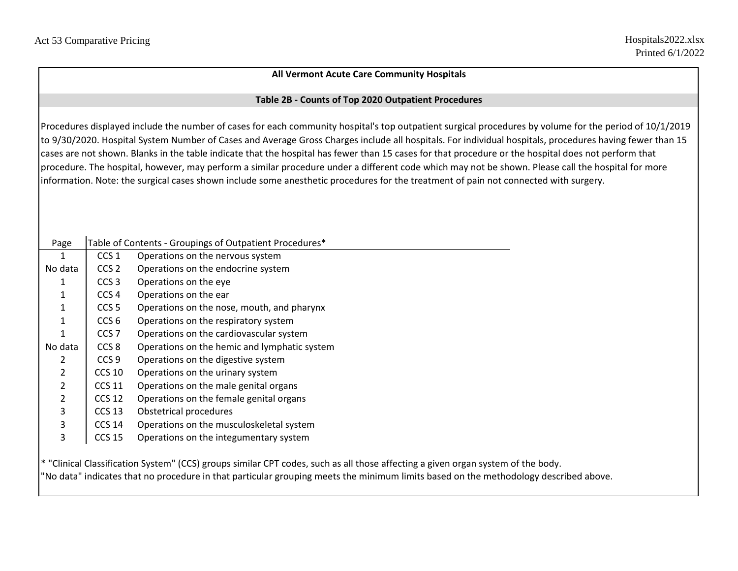## **All Vermont Acute Care Community Hospitals**

## **Table 2B - Counts of Top 2020 Outpatient Procedures**

Procedures displayed include the number of cases for each community hospital's top outpatient surgical procedures by volume for the period of 10/1/2019 to 9/30/2020. Hospital System Number of Cases and Average Gross Charges include all hospitals. For individual hospitals, procedures having fewer than 15 cases are not shown. Blanks in the table indicate that the hospital has fewer than 15 cases for that procedure or the hospital does not perform that procedure. The hospital, however, may perform a similar procedure under a different code which may not be shown. Please call the hospital for more information. Note: the surgical cases shown include some anesthetic procedures for the treatment of pain not connected with surgery.

| Page           |                   | Table of Contents - Groupings of Outpatient Procedures*                                                      |
|----------------|-------------------|--------------------------------------------------------------------------------------------------------------|
| 1              | CCS <sub>1</sub>  | Operations on the nervous system                                                                             |
| No data        | CCS <sub>2</sub>  | Operations on the endocrine system                                                                           |
| 1              | CCS <sub>3</sub>  | Operations on the eye                                                                                        |
| 1              | CCS <sub>4</sub>  | Operations on the ear                                                                                        |
| 1              | CCS <sub>5</sub>  | Operations on the nose, mouth, and pharynx                                                                   |
| $\mathbf 1$    | CCS <sub>6</sub>  | Operations on the respiratory system                                                                         |
| 1              | CCS <sub>7</sub>  | Operations on the cardiovascular system                                                                      |
| No data        | CCS <sub>8</sub>  | Operations on the hemic and lymphatic system                                                                 |
| $\overline{2}$ | CCS <sub>9</sub>  | Operations on the digestive system                                                                           |
| $\overline{2}$ | <b>CCS 10</b>     | Operations on the urinary system                                                                             |
| $\overline{2}$ | <b>CCS 11</b>     | Operations on the male genital organs                                                                        |
| $\overline{2}$ | <b>CCS 12</b>     | Operations on the female genital organs                                                                      |
| 3              | CCS <sub>13</sub> | Obstetrical procedures                                                                                       |
| 3              | <b>CCS 14</b>     | Operations on the musculoskeletal system                                                                     |
| 3              | <b>CCS 15</b>     | Operations on the integumentary system                                                                       |
|                |                   |                                                                                                              |
|                |                   | * "Clinical Classification System" (CCS) groups similar CPT codes, such as all those affecting a given orgal |

ification System" (CCS) groups similar CPT codes, such as all those affecting a given organ system of the body. "No data" indicates that no procedure in that particular grouping meets the minimum limits based on the methodology described above.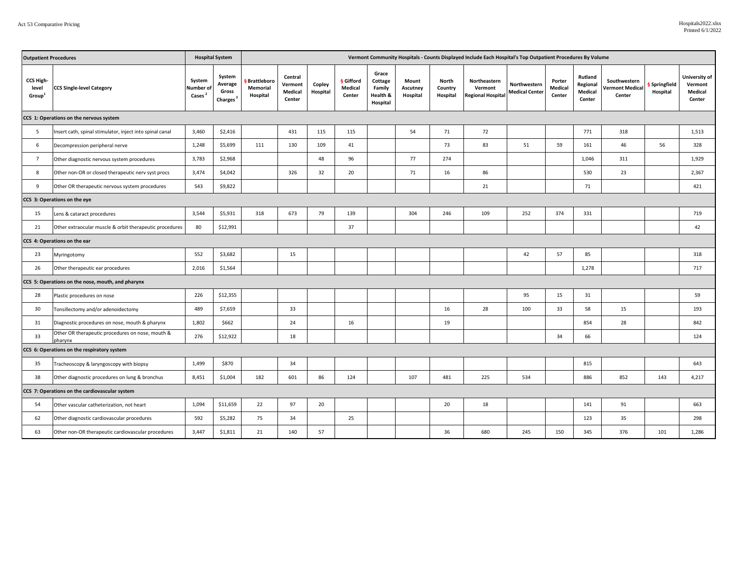| <b>Outpatient Procedures</b>                   |                                                             |                                           | <b>Hospital System</b>                             | Vermont Community Hospitals - Counts Displayed Include Each Hospital's Top Outpatient Procedures By Volume |                                         |                    |                                       |                                                    |                               |                              |                                                     |                                       |                                    |                                          |                                                  |                         |                                               |
|------------------------------------------------|-------------------------------------------------------------|-------------------------------------------|----------------------------------------------------|------------------------------------------------------------------------------------------------------------|-----------------------------------------|--------------------|---------------------------------------|----------------------------------------------------|-------------------------------|------------------------------|-----------------------------------------------------|---------------------------------------|------------------------------------|------------------------------------------|--------------------------------------------------|-------------------------|-----------------------------------------------|
| CCS High-<br>level<br>Group <sup>1</sup>       | <b>CCS Single-level Category</b>                            | System<br>Number of<br>Cases <sup>2</sup> | System<br>Average<br>Gross<br>Charges <sup>3</sup> | § Brattleboro<br><b>Memorial</b><br>Hospital                                                               | Central<br>Vermont<br>Medical<br>Center | Copley<br>Hospital | <b>§</b> Gifford<br>Medical<br>Center | Grace<br>Cottage<br>Family<br>Health &<br>Hospital | Mount<br>Ascutney<br>Hospital | North<br>Country<br>Hospital | Northeastern<br>Vermont<br><b>Regional Hospital</b> | Northwestern<br><b>Medical Center</b> | Porter<br><b>Medical</b><br>Center | Rutland<br>Regional<br>Medical<br>Center | Southwestern<br><b>Vermont Medical</b><br>Center | Springfield<br>Hospital | University of<br>Vermont<br>Medical<br>Center |
|                                                | CCS 1: Operations on the nervous system                     |                                           |                                                    |                                                                                                            |                                         |                    |                                       |                                                    |                               |                              |                                                     |                                       |                                    |                                          |                                                  |                         |                                               |
| 5                                              | Insert cath, spinal stimulator, inject into spinal canal    | 3,460                                     | \$2,416                                            |                                                                                                            | 431                                     | 115                | 115                                   |                                                    | 54                            | 71                           | 72                                                  |                                       |                                    | 771                                      | 318                                              |                         | 1,513                                         |
| 6                                              | Decompression peripheral nerve                              | 1,248                                     | \$5,699                                            | 111                                                                                                        | 130                                     | 109                | 41                                    |                                                    |                               | 73                           | 83                                                  | 51                                    | 59                                 | 161                                      | 46                                               | 56                      | 328                                           |
| $\overline{7}$                                 | Other diagnostic nervous system procedures                  | 3,783                                     | \$2,968                                            |                                                                                                            |                                         | 48                 | 96                                    |                                                    | 77                            | 274                          |                                                     |                                       |                                    | 1,046                                    | 311                                              |                         | 1,929                                         |
| 8                                              | Other non-OR or closed therapeutic nerv syst procs          | 3,474                                     | \$4,042                                            |                                                                                                            | 326                                     | 32                 | 20                                    |                                                    | 71                            | 16                           | 86                                                  |                                       |                                    | 530                                      | 23                                               |                         | 2,367                                         |
| 9                                              | Other OR therapeutic nervous system procedures              | 543                                       | \$9,822                                            |                                                                                                            |                                         |                    |                                       |                                                    |                               |                              | 21                                                  |                                       |                                    | 71                                       |                                                  |                         | 421                                           |
| CCS 3: Operations on the eye                   |                                                             |                                           |                                                    |                                                                                                            |                                         |                    |                                       |                                                    |                               |                              |                                                     |                                       |                                    |                                          |                                                  |                         |                                               |
| 15                                             | Lens & cataract procedures                                  | 3,544                                     | \$5,931                                            | 318                                                                                                        | 673                                     | 79                 | 139                                   |                                                    | 304                           | 246                          | 109                                                 | 252                                   | 374                                | 331                                      |                                                  |                         | 719                                           |
| 21                                             | Other extraocular muscle & orbit therapeutic procedures     | 80                                        | \$12,991                                           |                                                                                                            |                                         |                    | 37                                    |                                                    |                               |                              |                                                     |                                       |                                    |                                          |                                                  |                         | 42                                            |
| CCS 4: Operations on the ear                   |                                                             |                                           |                                                    |                                                                                                            |                                         |                    |                                       |                                                    |                               |                              |                                                     |                                       |                                    |                                          |                                                  |                         |                                               |
| 23                                             | Myringotomy                                                 | 552                                       | \$3,682                                            |                                                                                                            | 15                                      |                    |                                       |                                                    |                               |                              |                                                     | 42                                    | 57                                 | 85                                       |                                                  |                         | 318                                           |
| 26                                             | Other therapeutic ear procedures                            | 2,016                                     | \$1,564                                            |                                                                                                            |                                         |                    |                                       |                                                    |                               |                              |                                                     |                                       |                                    | 1,278                                    |                                                  |                         | 717                                           |
|                                                | CCS 5: Operations on the nose, mouth, and pharynx           |                                           |                                                    |                                                                                                            |                                         |                    |                                       |                                                    |                               |                              |                                                     |                                       |                                    |                                          |                                                  |                         |                                               |
| 28                                             | Plastic procedures on nose                                  | 226                                       | \$12,355                                           |                                                                                                            |                                         |                    |                                       |                                                    |                               |                              |                                                     | 95                                    | 15                                 | 31                                       |                                                  |                         | 59                                            |
| 30                                             | Tonsillectomy and/or adenoidectomy                          | 489                                       | \$7,659                                            |                                                                                                            | 33                                      |                    |                                       |                                                    |                               | 16                           | 28                                                  | 100                                   | 33                                 | 58                                       | 15                                               |                         | 193                                           |
| 31                                             | Diagnostic procedures on nose, mouth & pharynx              | 1,802                                     | \$662                                              |                                                                                                            | 24                                      |                    | 16                                    |                                                    |                               | 19                           |                                                     |                                       |                                    | 854                                      | 28                                               |                         | 842                                           |
| 33                                             | Other OR therapeutic procedures on nose, mouth &<br>pharynx | 276                                       | \$12,922                                           |                                                                                                            | 18                                      |                    |                                       |                                                    |                               |                              |                                                     |                                       | 34                                 | 66                                       |                                                  |                         | 124                                           |
|                                                | CCS 6: Operations on the respiratory system                 |                                           |                                                    |                                                                                                            |                                         |                    |                                       |                                                    |                               |                              |                                                     |                                       |                                    |                                          |                                                  |                         |                                               |
| 35                                             | Tracheoscopy & laryngoscopy with biopsy                     | 1,499                                     | \$870                                              |                                                                                                            | 34                                      |                    |                                       |                                                    |                               |                              |                                                     |                                       |                                    | 815                                      |                                                  |                         | 643                                           |
| 38                                             | Other diagnostic procedures on lung & bronchus              | 8,451                                     | \$1,004                                            | 182                                                                                                        | 601                                     | 86                 | 124                                   |                                                    | 107                           | 481                          | 225                                                 | 534                                   |                                    | 886                                      | 852                                              | 143                     | 4,217                                         |
| CCS 7: Operations on the cardiovascular system |                                                             |                                           |                                                    |                                                                                                            |                                         |                    |                                       |                                                    |                               |                              |                                                     |                                       |                                    |                                          |                                                  |                         |                                               |
| 54                                             | Other vascular catheterization, not heart                   | 1,094                                     | \$11,659                                           | 22                                                                                                         | 97                                      | 20                 |                                       |                                                    |                               | 20                           | 18                                                  |                                       |                                    | 141                                      | 91                                               |                         | 663                                           |
| 62                                             | Other diagnostic cardiovascular procedures                  | 592                                       | \$5,282                                            | 75                                                                                                         | 34                                      |                    | 25                                    |                                                    |                               |                              |                                                     |                                       |                                    | 123                                      | 35                                               |                         | 298                                           |
| 63                                             | Other non-OR therapeutic cardiovascular procedures          | 3,447                                     | \$1,811                                            | 21                                                                                                         | 140                                     | 57                 |                                       |                                                    |                               | 36                           | 680                                                 | 245                                   | 150                                | 345                                      | 376                                              | 101                     | 1,286                                         |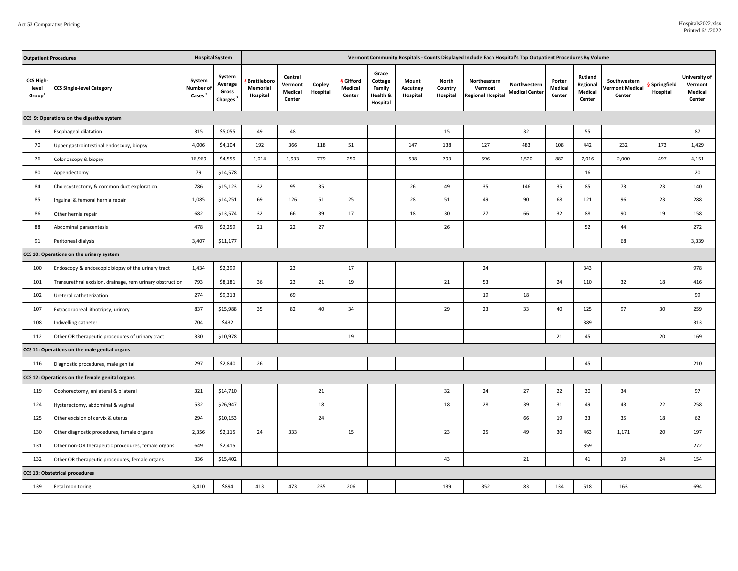| <b>Outpatient Procedures</b>             | <b>Hospital System</b><br>Vermont Community Hospitals - Counts Displayed Include Each Hospital's Top Outpatient Procedures By Volume |                                           |                                                    |                                            |                                         |                    |                                       |                                                    |                               |                              |                                                     |                                       |                             |                                          |                                                  |                         |                                               |
|------------------------------------------|--------------------------------------------------------------------------------------------------------------------------------------|-------------------------------------------|----------------------------------------------------|--------------------------------------------|-----------------------------------------|--------------------|---------------------------------------|----------------------------------------------------|-------------------------------|------------------------------|-----------------------------------------------------|---------------------------------------|-----------------------------|------------------------------------------|--------------------------------------------------|-------------------------|-----------------------------------------------|
| CCS High-<br>level<br>Group'             | <b>CCS Single-level Category</b>                                                                                                     | System<br>Number of<br>Cases <sup>2</sup> | System<br>Average<br>Gross<br>Charges <sup>3</sup> | <b>Brattleboro</b><br>Memorial<br>Hospital | Central<br>Vermont<br>Medical<br>Center | Copley<br>Hospital | <b>§</b> Gifford<br>Medical<br>Center | Grace<br>Cottage<br>Family<br>Health &<br>Hospital | Mount<br>Ascutney<br>Hospital | North<br>Country<br>Hospital | Northeastern<br>Vermont<br><b>Regional Hospital</b> | Northwestern<br><b>Medical Center</b> | Porter<br>Medical<br>Center | Rutland<br>Regional<br>Medical<br>Center | Southwestern<br><b>Vermont Medical</b><br>Center | Springfield<br>Hospital | University of<br>Vermont<br>Medical<br>Center |
|                                          | CCS 9: Operations on the digestive system                                                                                            |                                           |                                                    |                                            |                                         |                    |                                       |                                                    |                               |                              |                                                     |                                       |                             |                                          |                                                  |                         |                                               |
| 69                                       | Esophageal dilatation                                                                                                                | 315                                       | \$5,055                                            | 49                                         | 48                                      |                    |                                       |                                                    |                               | 15                           |                                                     | 32                                    |                             | 55                                       |                                                  |                         | 87                                            |
| 70                                       | Upper gastrointestinal endoscopy, biopsy                                                                                             | 4,006                                     | \$4,104                                            | 192                                        | 366                                     | 118                | 51                                    |                                                    | 147                           | 138                          | 127                                                 | 483                                   | 108                         | 442                                      | 232                                              | 173                     | 1,429                                         |
| 76                                       | Colonoscopy & biopsy                                                                                                                 | 16,969                                    | \$4,555                                            | 1,014                                      | 1,933                                   | 779                | 250                                   |                                                    | 538                           | 793                          | 596                                                 | 1,520                                 | 882                         | 2,016                                    | 2,000                                            | 497                     | 4,151                                         |
| 80                                       | Appendectomy                                                                                                                         | 79                                        | \$14,578                                           |                                            |                                         |                    |                                       |                                                    |                               |                              |                                                     |                                       |                             | 16                                       |                                                  |                         | 20                                            |
| 84                                       | Cholecystectomy & common duct exploration                                                                                            | 786                                       | \$15,123                                           | 32                                         | 95                                      | 35                 |                                       |                                                    | 26                            | 49                           | 35                                                  | 146                                   | 35                          | 85                                       | 73                                               | 23                      | 140                                           |
| 85                                       | Inguinal & femoral hernia repair                                                                                                     | 1,085                                     | \$14,251                                           | 69                                         | 126                                     | 51                 | 25                                    |                                                    | 28                            | 51                           | 49                                                  | 90                                    | 68                          | 121                                      | 96                                               | 23                      | 288                                           |
| 86                                       | Other hernia repair                                                                                                                  | 682                                       | \$13,574                                           | 32                                         | 66                                      | 39                 | 17                                    |                                                    | 18                            | 30                           | 27                                                  | 66                                    | 32                          | 88                                       | 90                                               | 19                      | 158                                           |
| 88                                       | Abdominal paracentesis                                                                                                               | 478                                       | \$2,259                                            | 21                                         | 22                                      | 27                 |                                       |                                                    |                               | 26                           |                                                     |                                       |                             | 52                                       | 44                                               |                         | 272                                           |
| 91                                       | Peritoneal dialysis                                                                                                                  | 3,407                                     | \$11,177                                           |                                            |                                         |                    |                                       |                                                    |                               |                              |                                                     |                                       |                             |                                          | 68                                               |                         | 3,339                                         |
| CCS 10: Operations on the urinary system |                                                                                                                                      |                                           |                                                    |                                            |                                         |                    |                                       |                                                    |                               |                              |                                                     |                                       |                             |                                          |                                                  |                         |                                               |
| 100                                      | Endoscopy & endoscopic biopsy of the urinary tract                                                                                   | 1,434                                     | \$2,399                                            |                                            | 23                                      |                    | 17                                    |                                                    |                               |                              | 24                                                  |                                       |                             | 343                                      |                                                  |                         | 978                                           |
| 101                                      | Transurethral excision, drainage, rem urinary obstruction                                                                            | 793                                       | \$8,181                                            | 36                                         | 23                                      | 21                 | 19                                    |                                                    |                               | 21                           | 53                                                  |                                       | 24                          | 110                                      | 32                                               | 18                      | 416                                           |
| 102                                      | Ureteral catheterization                                                                                                             | 274                                       | \$9,313                                            |                                            | 69                                      |                    |                                       |                                                    |                               |                              | 19                                                  | 18                                    |                             |                                          |                                                  |                         | 99                                            |
| 107                                      | Extracorporeal lithotripsy, urinary                                                                                                  | 837                                       | \$15,988                                           | 35                                         | 82                                      | 40                 | 34                                    |                                                    |                               | 29                           | 23                                                  | 33                                    | 40                          | 125                                      | 97                                               | 30                      | 259                                           |
| 108                                      | Indwelling catheter                                                                                                                  | 704                                       | \$432                                              |                                            |                                         |                    |                                       |                                                    |                               |                              |                                                     |                                       |                             | 389                                      |                                                  |                         | 313                                           |
| 112                                      | Other OR therapeutic procedures of urinary tract                                                                                     | 330                                       | \$10,978                                           |                                            |                                         |                    | 19                                    |                                                    |                               |                              |                                                     |                                       | 21                          | 45                                       |                                                  | 20                      | 169                                           |
|                                          | CCS 11: Operations on the male genital organs                                                                                        |                                           |                                                    |                                            |                                         |                    |                                       |                                                    |                               |                              |                                                     |                                       |                             |                                          |                                                  |                         |                                               |
| 116                                      | Diagnostic procedures, male genital                                                                                                  | 297                                       | \$2,840                                            | 26                                         |                                         |                    |                                       |                                                    |                               |                              |                                                     |                                       |                             | 45                                       |                                                  |                         | 210                                           |
|                                          | CCS 12: Operations on the female genital organs                                                                                      |                                           |                                                    |                                            |                                         |                    |                                       |                                                    |                               |                              |                                                     |                                       |                             |                                          |                                                  |                         |                                               |
| 119                                      | Oophorectomy, unilateral & bilateral                                                                                                 | 321                                       | \$14,710                                           |                                            |                                         | 21                 |                                       |                                                    |                               | 32                           | 24                                                  | 27                                    | 22                          | 30                                       | 34                                               |                         | 97                                            |
| 124                                      | Hysterectomy, abdominal & vaginal                                                                                                    | 532                                       | \$26,947                                           |                                            |                                         | 18                 |                                       |                                                    |                               | 18                           | 28                                                  | 39                                    | 31                          | 49                                       | 43                                               | 22                      | 258                                           |
| 125                                      | Other excision of cervix & uterus                                                                                                    | 294                                       | \$10,153                                           |                                            |                                         | 24                 |                                       |                                                    |                               |                              |                                                     | 66                                    | 19                          | 33                                       | 35                                               | 18                      | 62                                            |
| 130                                      | Other diagnostic procedures, female organs                                                                                           | 2,356                                     | \$2,115                                            | 24                                         | 333                                     |                    | 15                                    |                                                    |                               | 23                           | 25                                                  | 49                                    | 30                          | 463                                      | 1,171                                            | 20                      | 197                                           |
| 131                                      | Other non-OR therapeutic procedures, female organs                                                                                   | 649                                       | \$2,415                                            |                                            |                                         |                    |                                       |                                                    |                               |                              |                                                     |                                       |                             | 359                                      |                                                  |                         | 272                                           |
| 132                                      | Other OR therapeutic procedures, female organs                                                                                       | 336                                       | \$15,402                                           |                                            |                                         |                    |                                       |                                                    |                               | 43                           |                                                     | 21                                    |                             | 41                                       | 19                                               | 24                      | 154                                           |
|                                          | CCS 13: Obstetrical procedures                                                                                                       |                                           |                                                    |                                            |                                         |                    |                                       |                                                    |                               |                              |                                                     |                                       |                             |                                          |                                                  |                         |                                               |
| 139                                      | Fetal monitoring                                                                                                                     | 3.410                                     | \$894                                              | 413                                        | 473                                     | 235                | 206                                   |                                                    |                               | 139                          | 352                                                 | 83                                    | 134                         | 518                                      | 163                                              |                         | 694                                           |